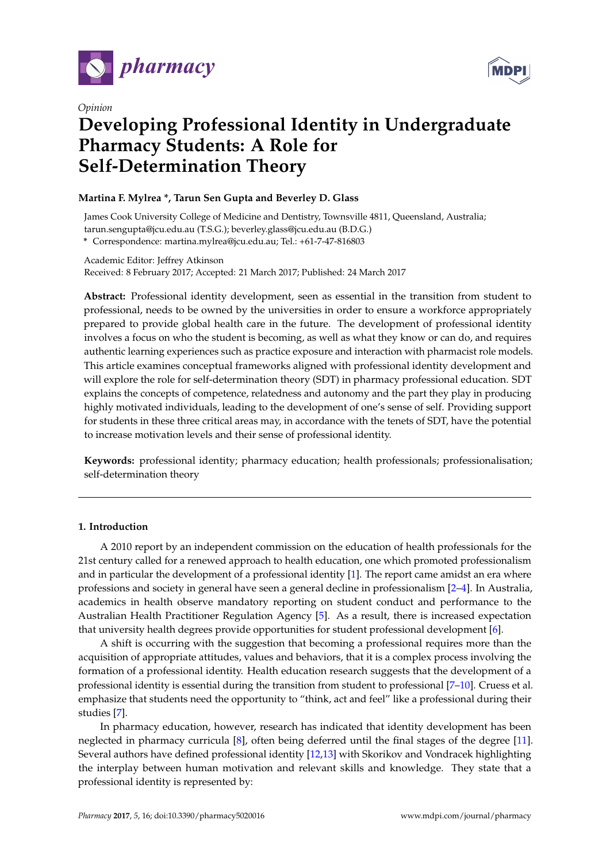

*Opinion*



# **Developing Professional Identity in Undergraduate Pharmacy Students: A Role for Self-Determination Theory**

## **Martina F. Mylrea \*, Tarun Sen Gupta and Beverley D. Glass**

James Cook University College of Medicine and Dentistry, Townsville 4811, Queensland, Australia; tarun.sengupta@jcu.edu.au (T.S.G.); beverley.glass@jcu.edu.au (B.D.G.)

**\*** Correspondence: martina.mylrea@jcu.edu.au; Tel.: +61-7-47-816803

Academic Editor: Jeffrey Atkinson Received: 8 February 2017; Accepted: 21 March 2017; Published: 24 March 2017

**Abstract:** Professional identity development, seen as essential in the transition from student to professional, needs to be owned by the universities in order to ensure a workforce appropriately prepared to provide global health care in the future. The development of professional identity involves a focus on who the student is becoming, as well as what they know or can do, and requires authentic learning experiences such as practice exposure and interaction with pharmacist role models. This article examines conceptual frameworks aligned with professional identity development and will explore the role for self-determination theory (SDT) in pharmacy professional education. SDT explains the concepts of competence, relatedness and autonomy and the part they play in producing highly motivated individuals, leading to the development of one's sense of self. Providing support for students in these three critical areas may, in accordance with the tenets of SDT, have the potential to increase motivation levels and their sense of professional identity.

**Keywords:** professional identity; pharmacy education; health professionals; professionalisation; self-determination theory

## **1. Introduction**

A 2010 report by an independent commission on the education of health professionals for the 21st century called for a renewed approach to health education, one which promoted professionalism and in particular the development of a professional identity [\[1\]](#page-6-0). The report came amidst an era where professions and society in general have seen a general decline in professionalism [\[2](#page-6-1)[–4\]](#page-6-2). In Australia, academics in health observe mandatory reporting on student conduct and performance to the Australian Health Practitioner Regulation Agency [\[5\]](#page-6-3). As a result, there is increased expectation that university health degrees provide opportunities for student professional development [\[6\]](#page-6-4).

A shift is occurring with the suggestion that becoming a professional requires more than the acquisition of appropriate attitudes, values and behaviors, that it is a complex process involving the formation of a professional identity. Health education research suggests that the development of a professional identity is essential during the transition from student to professional [\[7–](#page-6-5)[10\]](#page-6-6). Cruess et al. emphasize that students need the opportunity to "think, act and feel" like a professional during their studies [\[7\]](#page-6-5).

In pharmacy education, however, research has indicated that identity development has been neglected in pharmacy curricula [\[8\]](#page-6-7), often being deferred until the final stages of the degree [\[11\]](#page-6-8). Several authors have defined professional identity [\[12,](#page-6-9)[13\]](#page-6-10) with Skorikov and Vondracek highlighting the interplay between human motivation and relevant skills and knowledge. They state that a professional identity is represented by: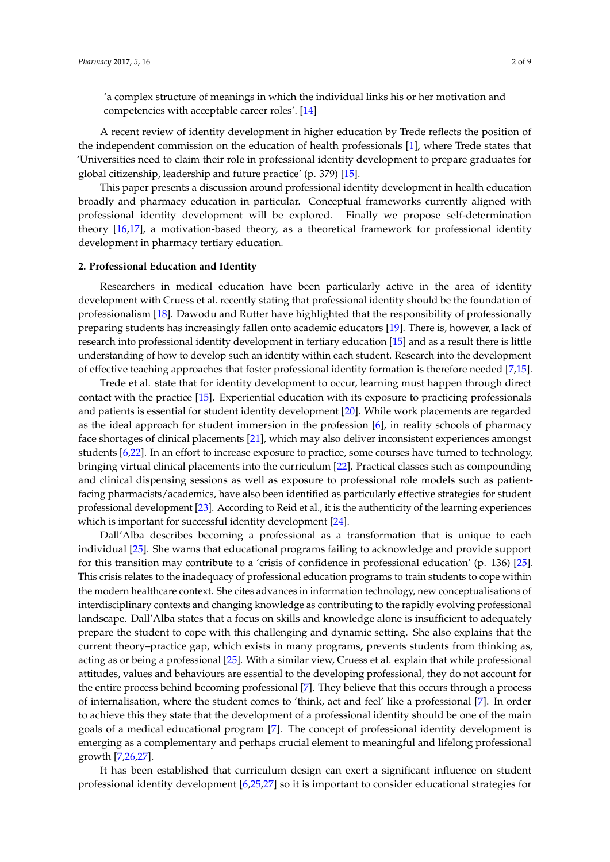'a complex structure of meanings in which the individual links his or her motivation and competencies with acceptable career roles'. [\[14\]](#page-6-11)

A recent review of identity development in higher education by Trede reflects the position of the independent commission on the education of health professionals [\[1\]](#page-6-0), where Trede states that 'Universities need to claim their role in professional identity development to prepare graduates for global citizenship, leadership and future practice' (p. 379) [\[15\]](#page-7-0).

This paper presents a discussion around professional identity development in health education broadly and pharmacy education in particular. Conceptual frameworks currently aligned with professional identity development will be explored. Finally we propose self-determination theory [\[16](#page-7-1)[,17\]](#page-7-2), a motivation-based theory, as a theoretical framework for professional identity development in pharmacy tertiary education.

#### **2. Professional Education and Identity**

Researchers in medical education have been particularly active in the area of identity development with Cruess et al. recently stating that professional identity should be the foundation of professionalism [\[18\]](#page-7-3). Dawodu and Rutter have highlighted that the responsibility of professionally preparing students has increasingly fallen onto academic educators [\[19\]](#page-7-4). There is, however, a lack of research into professional identity development in tertiary education [\[15\]](#page-7-0) and as a result there is little understanding of how to develop such an identity within each student. Research into the development of effective teaching approaches that foster professional identity formation is therefore needed [\[7,](#page-6-5)[15\]](#page-7-0).

Trede et al. state that for identity development to occur, learning must happen through direct contact with the practice [\[15\]](#page-7-0). Experiential education with its exposure to practicing professionals and patients is essential for student identity development [\[20\]](#page-7-5). While work placements are regarded as the ideal approach for student immersion in the profession [\[6\]](#page-6-4), in reality schools of pharmacy face shortages of clinical placements [\[21\]](#page-7-6), which may also deliver inconsistent experiences amongst students [\[6,](#page-6-4)[22\]](#page-7-7). In an effort to increase exposure to practice, some courses have turned to technology, bringing virtual clinical placements into the curriculum [\[22\]](#page-7-7). Practical classes such as compounding and clinical dispensing sessions as well as exposure to professional role models such as patientfacing pharmacists/academics, have also been identified as particularly effective strategies for student professional development [\[23\]](#page-7-8). According to Reid et al., it is the authenticity of the learning experiences which is important for successful identity development [\[24\]](#page-7-9).

Dall'Alba describes becoming a professional as a transformation that is unique to each individual [\[25\]](#page-7-10). She warns that educational programs failing to acknowledge and provide support for this transition may contribute to a 'crisis of confidence in professional education' (p. 136) [\[25\]](#page-7-10). This crisis relates to the inadequacy of professional education programs to train students to cope within the modern healthcare context. She cites advances in information technology, new conceptualisations of interdisciplinary contexts and changing knowledge as contributing to the rapidly evolving professional landscape. Dall'Alba states that a focus on skills and knowledge alone is insufficient to adequately prepare the student to cope with this challenging and dynamic setting. She also explains that the current theory–practice gap, which exists in many programs, prevents students from thinking as, acting as or being a professional [\[25\]](#page-7-10). With a similar view, Cruess et al. explain that while professional attitudes, values and behaviours are essential to the developing professional, they do not account for the entire process behind becoming professional [\[7\]](#page-6-5). They believe that this occurs through a process of internalisation, where the student comes to 'think, act and feel' like a professional [\[7\]](#page-6-5). In order to achieve this they state that the development of a professional identity should be one of the main goals of a medical educational program [\[7\]](#page-6-5). The concept of professional identity development is emerging as a complementary and perhaps crucial element to meaningful and lifelong professional growth [\[7](#page-6-5)[,26](#page-7-11)[,27\]](#page-7-12).

It has been established that curriculum design can exert a significant influence on student professional identity development [\[6,](#page-6-4)[25,](#page-7-10)[27\]](#page-7-12) so it is important to consider educational strategies for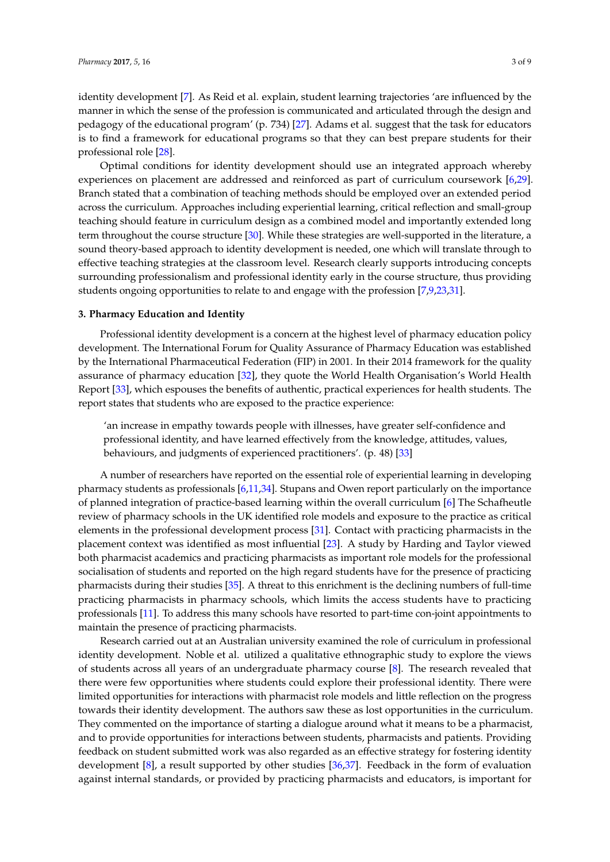identity development [\[7\]](#page-6-5). As Reid et al. explain, student learning trajectories 'are influenced by the manner in which the sense of the profession is communicated and articulated through the design and pedagogy of the educational program' (p. 734) [\[27\]](#page-7-12). Adams et al. suggest that the task for educators is to find a framework for educational programs so that they can best prepare students for their professional role [\[28\]](#page-7-13).

Optimal conditions for identity development should use an integrated approach whereby experiences on placement are addressed and reinforced as part of curriculum coursework [\[6,](#page-6-4)[29\]](#page-7-14). Branch stated that a combination of teaching methods should be employed over an extended period across the curriculum. Approaches including experiential learning, critical reflection and small-group teaching should feature in curriculum design as a combined model and importantly extended long term throughout the course structure [\[30\]](#page-7-15). While these strategies are well-supported in the literature, a sound theory-based approach to identity development is needed, one which will translate through to effective teaching strategies at the classroom level. Research clearly supports introducing concepts surrounding professionalism and professional identity early in the course structure, thus providing students ongoing opportunities to relate to and engage with the profession [\[7,](#page-6-5)[9,](#page-6-12)[23,](#page-7-8)[31\]](#page-7-16).

#### **3. Pharmacy Education and Identity**

Professional identity development is a concern at the highest level of pharmacy education policy development. The International Forum for Quality Assurance of Pharmacy Education was established by the International Pharmaceutical Federation (FIP) in 2001. In their 2014 framework for the quality assurance of pharmacy education [\[32\]](#page-7-17), they quote the World Health Organisation's World Health Report [\[33\]](#page-7-18), which espouses the benefits of authentic, practical experiences for health students. The report states that students who are exposed to the practice experience:

'an increase in empathy towards people with illnesses, have greater self-confidence and professional identity, and have learned effectively from the knowledge, attitudes, values, behaviours, and judgments of experienced practitioners'. (p. 48) [\[33\]](#page-7-18)

A number of researchers have reported on the essential role of experiential learning in developing pharmacy students as professionals [\[6,](#page-6-4)[11,](#page-6-8)[34\]](#page-7-19). Stupans and Owen report particularly on the importance of planned integration of practice-based learning within the overall curriculum [\[6\]](#page-6-4) The Schafheutle review of pharmacy schools in the UK identified role models and exposure to the practice as critical elements in the professional development process [\[31\]](#page-7-16). Contact with practicing pharmacists in the placement context was identified as most influential [\[23\]](#page-7-8). A study by Harding and Taylor viewed both pharmacist academics and practicing pharmacists as important role models for the professional socialisation of students and reported on the high regard students have for the presence of practicing pharmacists during their studies [\[35\]](#page-7-20). A threat to this enrichment is the declining numbers of full-time practicing pharmacists in pharmacy schools, which limits the access students have to practicing professionals [\[11\]](#page-6-8). To address this many schools have resorted to part-time con-joint appointments to maintain the presence of practicing pharmacists.

Research carried out at an Australian university examined the role of curriculum in professional identity development. Noble et al. utilized a qualitative ethnographic study to explore the views of students across all years of an undergraduate pharmacy course [\[8\]](#page-6-7). The research revealed that there were few opportunities where students could explore their professional identity. There were limited opportunities for interactions with pharmacist role models and little reflection on the progress towards their identity development. The authors saw these as lost opportunities in the curriculum. They commented on the importance of starting a dialogue around what it means to be a pharmacist, and to provide opportunities for interactions between students, pharmacists and patients. Providing feedback on student submitted work was also regarded as an effective strategy for fostering identity development [\[8\]](#page-6-7), a result supported by other studies [\[36](#page-7-21)[,37\]](#page-7-22). Feedback in the form of evaluation against internal standards, or provided by practicing pharmacists and educators, is important for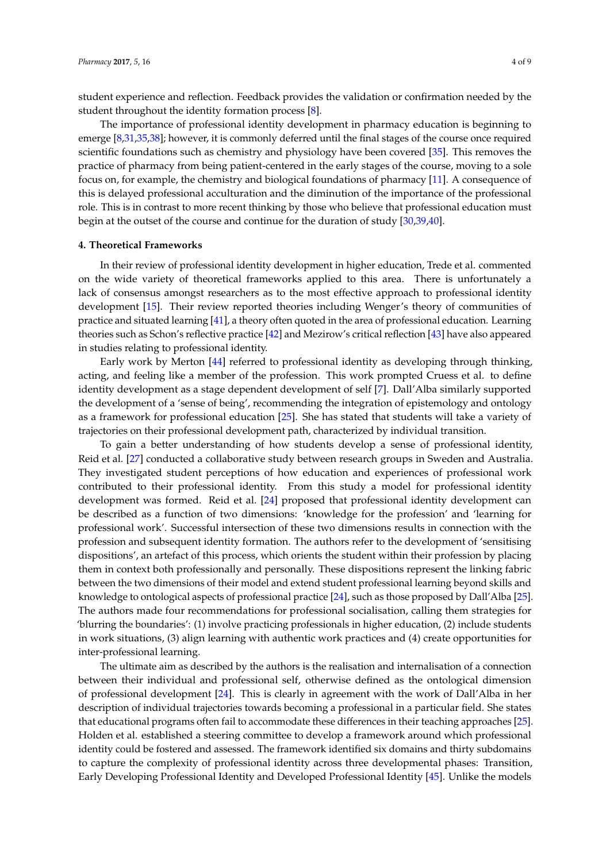student experience and reflection. Feedback provides the validation or confirmation needed by the student throughout the identity formation process [\[8\]](#page-6-7).

The importance of professional identity development in pharmacy education is beginning to emerge [\[8](#page-6-7)[,31](#page-7-16)[,35](#page-7-20)[,38\]](#page-7-23); however, it is commonly deferred until the final stages of the course once required scientific foundations such as chemistry and physiology have been covered [\[35\]](#page-7-20). This removes the practice of pharmacy from being patient-centered in the early stages of the course, moving to a sole focus on, for example, the chemistry and biological foundations of pharmacy [\[11\]](#page-6-8). A consequence of this is delayed professional acculturation and the diminution of the importance of the professional role. This is in contrast to more recent thinking by those who believe that professional education must begin at the outset of the course and continue for the duration of study [\[30,](#page-7-15)[39,](#page-7-24)[40\]](#page-8-0).

#### **4. Theoretical Frameworks**

In their review of professional identity development in higher education, Trede et al. commented on the wide variety of theoretical frameworks applied to this area. There is unfortunately a lack of consensus amongst researchers as to the most effective approach to professional identity development [\[15\]](#page-7-0). Their review reported theories including Wenger's theory of communities of practice and situated learning [\[41\]](#page-8-1), a theory often quoted in the area of professional education. Learning theories such as Schon's reflective practice [\[42\]](#page-8-2) and Mezirow's critical reflection [\[43\]](#page-8-3) have also appeared in studies relating to professional identity.

Early work by Merton [\[44\]](#page-8-4) referred to professional identity as developing through thinking, acting, and feeling like a member of the profession. This work prompted Cruess et al. to define identity development as a stage dependent development of self [\[7\]](#page-6-5). Dall'Alba similarly supported the development of a 'sense of being', recommending the integration of epistemology and ontology as a framework for professional education [\[25\]](#page-7-10). She has stated that students will take a variety of trajectories on their professional development path, characterized by individual transition.

To gain a better understanding of how students develop a sense of professional identity, Reid et al. [\[27\]](#page-7-12) conducted a collaborative study between research groups in Sweden and Australia. They investigated student perceptions of how education and experiences of professional work contributed to their professional identity. From this study a model for professional identity development was formed. Reid et al. [\[24\]](#page-7-9) proposed that professional identity development can be described as a function of two dimensions: 'knowledge for the profession' and 'learning for professional work'. Successful intersection of these two dimensions results in connection with the profession and subsequent identity formation. The authors refer to the development of 'sensitising dispositions', an artefact of this process, which orients the student within their profession by placing them in context both professionally and personally. These dispositions represent the linking fabric between the two dimensions of their model and extend student professional learning beyond skills and knowledge to ontological aspects of professional practice [\[24\]](#page-7-9), such as those proposed by Dall'Alba [\[25\]](#page-7-10). The authors made four recommendations for professional socialisation, calling them strategies for 'blurring the boundaries': (1) involve practicing professionals in higher education, (2) include students in work situations, (3) align learning with authentic work practices and (4) create opportunities for inter-professional learning.

The ultimate aim as described by the authors is the realisation and internalisation of a connection between their individual and professional self, otherwise defined as the ontological dimension of professional development [\[24\]](#page-7-9). This is clearly in agreement with the work of Dall'Alba in her description of individual trajectories towards becoming a professional in a particular field. She states that educational programs often fail to accommodate these differences in their teaching approaches [\[25\]](#page-7-10). Holden et al. established a steering committee to develop a framework around which professional identity could be fostered and assessed. The framework identified six domains and thirty subdomains to capture the complexity of professional identity across three developmental phases: Transition, Early Developing Professional Identity and Developed Professional Identity [\[45\]](#page-8-5). Unlike the models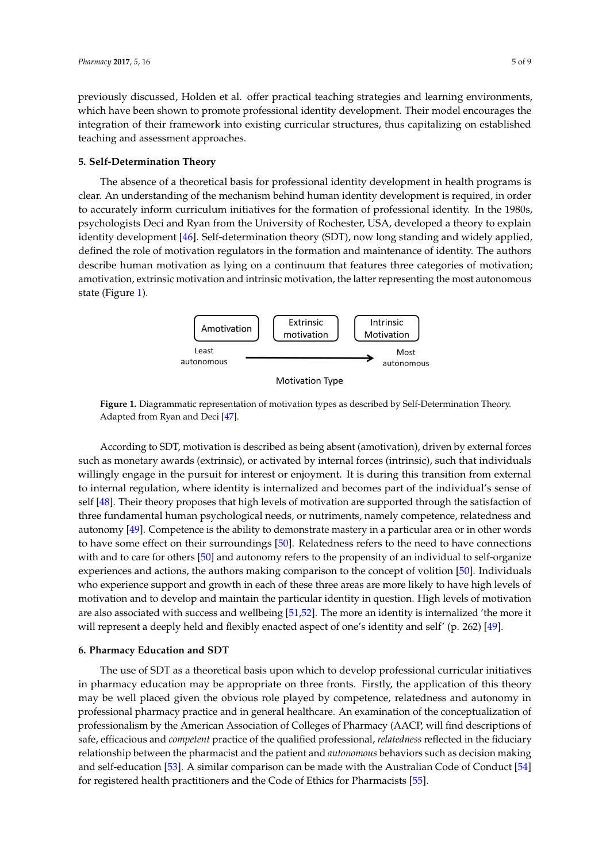previously discussed, Holden et al. offer practical teaching strategies and learning environments, which have been shown to promote professional identity development. Their model encourages the integration of their framework into existing curricular structures, thus capitalizing on established teaching and assessment approaches. *Pharmacy 30 strains and 35 of 95 of 95 of 95 of 95 of 95 of 95 of 95 of 95 of 95 of 95 of 95 of 95 of 95 of 95 of 95 of 95 of 95 of 95 of 95 of 95 of 95 of 95 of 95 of 95 of 95 of 95 o* 

#### **5. Self-Determination Theory 5. Self‐Determination Theory**

The absence of a theoretical basis for professional identity development in health programs is The absence of a theoretical basis for professional identity development in health programs is clear. An understanding of the mechanism behind human identity development is required, in order clear. An understanding of the mechanism behind human identity development is required, in order to accurately inform curriculum initiatives for the formation of professional identity. In the 1980s, to accurately inform curriculum initiatives for the formation of professional identity. In the 1980s, psychologists Deci and Ryan from the University of Rochester, USA, developed a theory to explain psychologists Deci and Ryan from the University of Rochester, USA, developed a theory to explain identity development [\[46\]](#page-8-6). Self-determination theory (SDT), now long standing and widely applied, identity development [46]. Self‐determination theory (SDT), now long standing and widely applied, defined the role of motivation regulators in the formation and maintenance of identity. The authors defined the role of motivation regulators in the formation and maintenance of identity. The authors describe human motivation as lying on a continuum that features three categories of motivation; describe human motivation as lying on a continuum that features three categories of motivation; amotivation, extrinsic motivation and intrinsic motivation, the latter representing the most autonomous amotivation, extrinsic motivation and intrinsic motivation, the latter representing the most state (Figure [1\)](#page-4-0).

<span id="page-4-0"></span>

**Figure 1.** Diagrammatic representation of motivation types as described by Self-Determination Theory.<br>———————————————————— Adapted from Ryan and Deci [\[47\]](#page-8-7).

According to SDT, motivation is described as being absent (amotivation), driven by external According to SDT, motivation is described as being absent (amotivation), driven by external forces such as monetary awards (extrinsic), or activated by internal forces (intrinsic), such that individuals willingly engage in the pursuit for interest or enjoyment. It is during this transition from external to internal regulation, where identity is internalized and becomes part of the individual's sense of self [\[48\]](#page-8-8). Their theory proposes that high levels of motivation are supported through the satisfaction of three fundamental human psychological needs, or nutriments, namely competence, relatedness and autonomy [\[49\]](#page-8-9). Competence is the ability to demonstrate mastery in a particular area or in other words to have some effect on their surroundings [\[50\]](#page-8-10). Relatedness refers to the need to have connections with and to care for others [\[50\]](#page-8-10) and autonomy refers to the propensity of an individual to self-organize experiences and actions, the authors making comparison to the concept of volition [\[50\]](#page-8-10). Individuals who experience support and growth in each of these three areas are more likely to have high levels of motivation and to develop and maintain the particular identity in question. High levels of motivation are also associated with success and wellbeing [\[51](#page-8-11)[,52\]](#page-8-12). The more an identity is internalized 'the more it will represent a deeply held and flexibly enacted aspect of one's identity and self' (p. 262) [\[49\]](#page-8-9).

#### one's identity and self' (p. 262) [49]. **6. Pharmacy Education and SDT**

The use of SDT as a theoretical basis upon which to develop professional curricular initiatives in pharmacy education may be appropriate on three fronts. Firstly, the application of this theory may be well placed given the obvious role played by competence, relatedness and autonomy in professional pharmacy practice and in general healthcare. An examination of the conceptualization of professionalism by the American Association of Colleges of Pharmacy (AACP, will find descriptions of safe, efficacious and *competent* practice of the qualified professional, *relatedness* reflected in the fiduciary relationship between the pharmacist and the patient and *autonomous* behaviors such as decision making and self-education [<mark>53]</mark>. A similar comparison can be made with the Australian Code of Conduct [\[54\]](#page-8-14) for registered health practitioners and the Code of Ethics for Pharmacists [\[55\]](#page-8-15).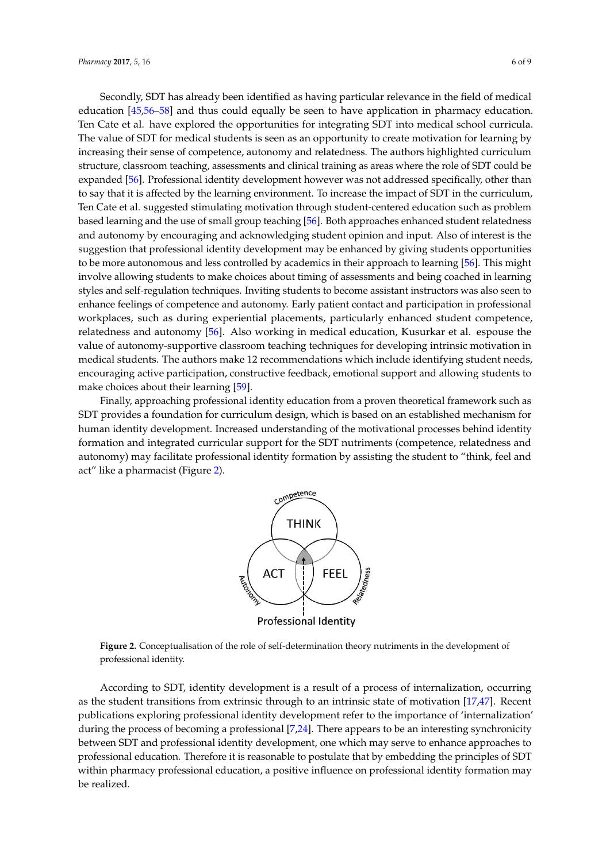Secondly, SDT has already been identified as having particular relevance in the field of medical education [\[45,](#page-8-5)[56–](#page-8-16)[58\]](#page-8-17) and thus could equally be seen to have application in pharmacy education. Ten Cate et al. have explored the opportunities for integrating SDT into medical school curricula. The value of SDT for medical students is seen as an opportunity to create motivation for learning by increasing their sense of competence, autonomy and relatedness. The authors highlighted curriculum increasing their sense of competence, autonomy and relatedness. The authors highlighted curriculum structure, classroom teaching, assessments and clinical training as areas where the role of SDT could be structure, classroom teaching, assessments and clinical training as areas where the role of SDT could expanded [\[56\]](#page-8-16). Professional identity development however was not addressed specifically, other than to say that it is affected by the learning environment. To increase the impact of SDT in the curriculum, Ten Cate et al. suggested stimulating motivation through student-centered education such as problem based learning and the use of small group teaching [\[56\]](#page-8-16). Both approaches enhanced student relatedness and autonomy by encouraging and acknowledging student opinion and input. Also of interest is the suggestion that professional identity development may be enhanced by giving students opportunities to be more autonomous and less controlled by academics in th[eir](#page-8-16) approach to learning [56]. This might involve allowing students to make choices about timing of assessments and being coached in learning styles and self-regulation techniques. Inviting students to become assistant instructors was also seen to enhance feelings of competence and autonomy. Early patient contact and participation in professional workplaces, such as during experiential placements, particularly enhanced student competence, relatedness and autonomy [\[56\]](#page-8-16). Also working in medical education, Kusurkar et al. espouse the value of autonomy-supportive classroom teaching techniques for developing intrinsic motivation in medical students. The authors make 12 recommendations which include identifying student needs, encouraging active participation, constructive feedback, emotional support and allowing students to [mak](#page-8-18)e choices about their learning [59].

<span id="page-5-0"></span>Finally, approaching professional identity education from a proven theoretical framework such as Finally, approaching professional identity education from a proven theoretical framework such SDT provides a foundation for curriculum design, which is based on an established mechanism for human identity development. Increased understanding of the motivational processes behind identity formation and integrated curricular support for the SDT nutriments (competence, relatedness and autonomy) may facilitate professional identity formation by assisting the student to "think, feel and act" like a ph[arm](#page-5-0)acist (Figure 2).



**Professional Identity** 

**Figure 2.** Conceptualisation of the role of self‐determination theory nutriments in the development of **Figure 2.** Conceptualisation of the role of self-determination theory nutriments in the development of professional identity. professional identity.

According to SDT, identity development is a result of a process of internalization, occurring as the student transitions from extrinsic through to an intrinsic state of motivation [\[17,](#page-7-2)[47\]](#page-8-7). Recent publications exploring professional identity development refer to the importance of 'internalization' publications exploring professional identity development refer to the importance of 'internalization' during the process of becoming a professional [7,24]. There appears to be an interesting synchronicity during the process of becoming a professional [\[7,](#page-6-5)[24\]](#page-7-9). There appears to be an interesting synchronicity between SDT and professional identity development, one which may serve to enhance approaches between SDT and professional identity development, one which may serve to enhance approaches to professional education. Therefore it is reasonable to postulate that by embedding the principles of SDT within pharmacy professional education, a positive influence on professional identity formation may be realized.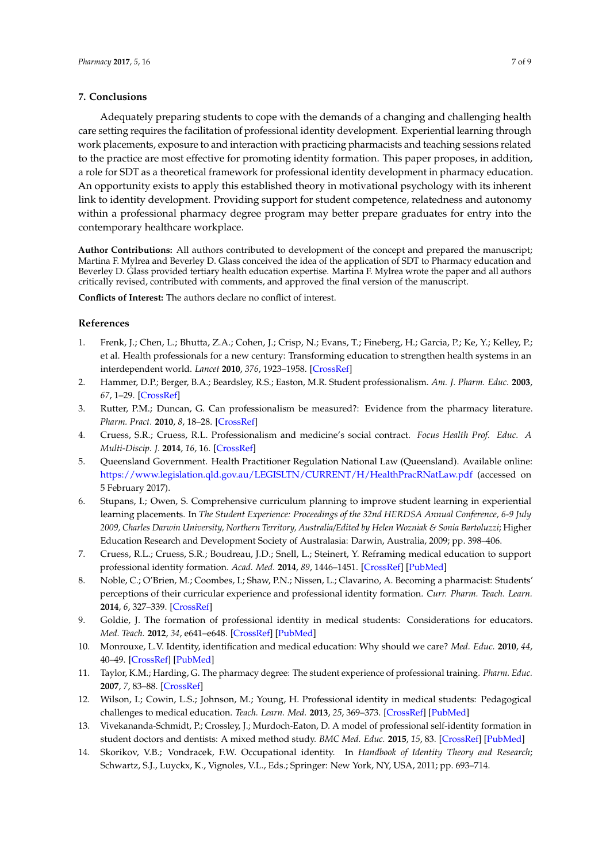### **7. Conclusions**

Adequately preparing students to cope with the demands of a changing and challenging health care setting requires the facilitation of professional identity development. Experiential learning through work placements, exposure to and interaction with practicing pharmacists and teaching sessions related to the practice are most effective for promoting identity formation. This paper proposes, in addition, a role for SDT as a theoretical framework for professional identity development in pharmacy education. An opportunity exists to apply this established theory in motivational psychology with its inherent link to identity development. Providing support for student competence, relatedness and autonomy within a professional pharmacy degree program may better prepare graduates for entry into the contemporary healthcare workplace.

**Author Contributions:** All authors contributed to development of the concept and prepared the manuscript; Martina F. Mylrea and Beverley D. Glass conceived the idea of the application of SDT to Pharmacy education and Beverley D. Glass provided tertiary health education expertise. Martina F. Mylrea wrote the paper and all authors critically revised, contributed with comments, and approved the final version of the manuscript.

**Conflicts of Interest:** The authors declare no conflict of interest.

### **References**

- <span id="page-6-0"></span>1. Frenk, J.; Chen, L.; Bhutta, Z.A.; Cohen, J.; Crisp, N.; Evans, T.; Fineberg, H.; Garcia, P.; Ke, Y.; Kelley, P.; et al. Health professionals for a new century: Transforming education to strengthen health systems in an interdependent world. *Lancet* **2010**, *376*, 1923–1958. [\[CrossRef\]](http://dx.doi.org/10.1016/S0140-6736(10)61854-5)
- <span id="page-6-1"></span>2. Hammer, D.P.; Berger, B.A.; Beardsley, R.S.; Easton, M.R. Student professionalism. *Am. J. Pharm. Educ.* **2003**, *67*, 1–29. [\[CrossRef\]](http://dx.doi.org/10.5688/aj670396)
- 3. Rutter, P.M.; Duncan, G. Can professionalism be measured?: Evidence from the pharmacy literature. *Pharm. Pract.* **2010**, *8*, 18–28. [\[CrossRef\]](http://dx.doi.org/10.4321/S1886-36552010000100002)
- <span id="page-6-2"></span>4. Cruess, S.R.; Cruess, R.L. Professionalism and medicine's social contract. *Focus Health Prof. Educ. A Multi-Discip. J.* **2014**, *16*, 16. [\[CrossRef\]](http://dx.doi.org/10.11157/fohpe.v16i1.52)
- <span id="page-6-3"></span>5. Queensland Government. Health Practitioner Regulation National Law (Queensland). Available online: <https://www.legislation.qld.gov.au/LEGISLTN/CURRENT/H/HealthPracRNatLaw.pdf> (accessed on 5 February 2017).
- <span id="page-6-4"></span>6. Stupans, I.; Owen, S. Comprehensive curriculum planning to improve student learning in experiential learning placements. In *The Student Experience: Proceedings of the 32nd HERDSA Annual Conference, 6-9 July 2009, Charles Darwin University, Northern Territory, Australia/Edited by Helen Wozniak & Sonia Bartoluzzi*; Higher Education Research and Development Society of Australasia: Darwin, Australia, 2009; pp. 398–406.
- <span id="page-6-5"></span>7. Cruess, R.L.; Cruess, S.R.; Boudreau, J.D.; Snell, L.; Steinert, Y. Reframing medical education to support professional identity formation. *Acad. Med.* **2014**, *89*, 1446–1451. [\[CrossRef\]](http://dx.doi.org/10.1097/ACM.0000000000000427) [\[PubMed\]](http://www.ncbi.nlm.nih.gov/pubmed/25054423)
- <span id="page-6-7"></span>8. Noble, C.; O'Brien, M.; Coombes, I.; Shaw, P.N.; Nissen, L.; Clavarino, A. Becoming a pharmacist: Students' perceptions of their curricular experience and professional identity formation. *Curr. Pharm. Teach. Learn.* **2014**, *6*, 327–339. [\[CrossRef\]](http://dx.doi.org/10.1016/j.cptl.2014.02.010)
- <span id="page-6-12"></span>9. Goldie, J. The formation of professional identity in medical students: Considerations for educators. *Med. Teach.* **2012**, *34*, e641–e648. [\[CrossRef\]](http://dx.doi.org/10.3109/0142159X.2012.687476) [\[PubMed\]](http://www.ncbi.nlm.nih.gov/pubmed/22905665)
- <span id="page-6-6"></span>10. Monrouxe, L.V. Identity, identification and medical education: Why should we care? *Med. Educ.* **2010**, *44*, 40–49. [\[CrossRef\]](http://dx.doi.org/10.1111/j.1365-2923.2009.03440.x) [\[PubMed\]](http://www.ncbi.nlm.nih.gov/pubmed/20078755)
- <span id="page-6-8"></span>11. Taylor, K.M.; Harding, G. The pharmacy degree: The student experience of professional training. *Pharm. Educ.* **2007**, *7*, 83–88. [\[CrossRef\]](http://dx.doi.org/10.1080/15602210601149383)
- <span id="page-6-9"></span>12. Wilson, I.; Cowin, L.S.; Johnson, M.; Young, H. Professional identity in medical students: Pedagogical challenges to medical education. *Teach. Learn. Med.* **2013**, *25*, 369–373. [\[CrossRef\]](http://dx.doi.org/10.1080/10401334.2013.827968) [\[PubMed\]](http://www.ncbi.nlm.nih.gov/pubmed/24112208)
- <span id="page-6-10"></span>13. Vivekananda-Schmidt, P.; Crossley, J.; Murdoch-Eaton, D. A model of professional self-identity formation in student doctors and dentists: A mixed method study. *BMC Med. Educ.* **2015**, *15*, 83. [\[CrossRef\]](http://dx.doi.org/10.1186/s12909-015-0365-7) [\[PubMed\]](http://www.ncbi.nlm.nih.gov/pubmed/25924676)
- <span id="page-6-11"></span>14. Skorikov, V.B.; Vondracek, F.W. Occupational identity. In *Handbook of Identity Theory and Research*; Schwartz, S.J., Luyckx, K., Vignoles, V.L., Eds.; Springer: New York, NY, USA, 2011; pp. 693–714.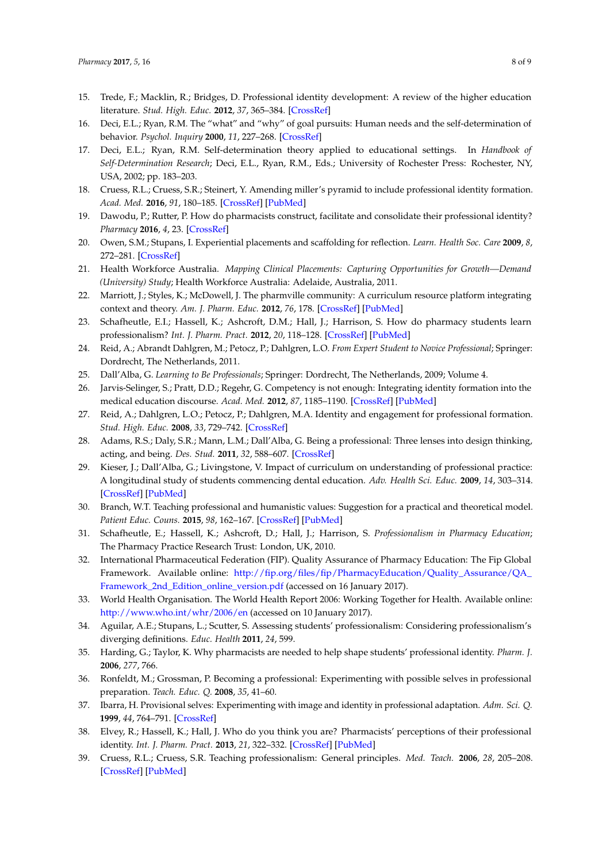- <span id="page-7-0"></span>15. Trede, F.; Macklin, R.; Bridges, D. Professional identity development: A review of the higher education literature. *Stud. High. Educ.* **2012**, *37*, 365–384. [\[CrossRef\]](http://dx.doi.org/10.1080/03075079.2010.521237)
- <span id="page-7-1"></span>16. Deci, E.L.; Ryan, R.M. The "what" and "why" of goal pursuits: Human needs and the self-determination of behavior. *Psychol. Inquiry* **2000**, *11*, 227–268. [\[CrossRef\]](http://dx.doi.org/10.1207/S15327965PLI1104_01)
- <span id="page-7-2"></span>17. Deci, E.L.; Ryan, R.M. Self-determination theory applied to educational settings. In *Handbook of Self-Determination Research*; Deci, E.L., Ryan, R.M., Eds.; University of Rochester Press: Rochester, NY, USA, 2002; pp. 183–203.
- <span id="page-7-3"></span>18. Cruess, R.L.; Cruess, S.R.; Steinert, Y. Amending miller's pyramid to include professional identity formation. *Acad. Med.* **2016**, *91*, 180–185. [\[CrossRef\]](http://dx.doi.org/10.1097/ACM.0000000000000913) [\[PubMed\]](http://www.ncbi.nlm.nih.gov/pubmed/26332429)
- <span id="page-7-4"></span>19. Dawodu, P.; Rutter, P. How do pharmacists construct, facilitate and consolidate their professional identity? *Pharmacy* **2016**, *4*, 23. [\[CrossRef\]](http://dx.doi.org/10.3390/pharmacy4030023)
- <span id="page-7-5"></span>20. Owen, S.M.; Stupans, I. Experiential placements and scaffolding for reflection. *Learn. Health Soc. Care* **2009**, *8*, 272–281. [\[CrossRef\]](http://dx.doi.org/10.1111/j.1473-6861.2009.00220.x)
- <span id="page-7-6"></span>21. Health Workforce Australia. *Mapping Clinical Placements: Capturing Opportunities for Growth—Demand (University) Study*; Health Workforce Australia: Adelaide, Australia, 2011.
- <span id="page-7-7"></span>22. Marriott, J.; Styles, K.; McDowell, J. The pharmville community: A curriculum resource platform integrating context and theory. *Am. J. Pharm. Educ.* **2012**, *76*, 178. [\[CrossRef\]](http://dx.doi.org/10.5688/ajpe769178) [\[PubMed\]](http://www.ncbi.nlm.nih.gov/pubmed/23193342)
- <span id="page-7-8"></span>23. Schafheutle, E.I.; Hassell, K.; Ashcroft, D.M.; Hall, J.; Harrison, S. How do pharmacy students learn professionalism? *Int. J. Pharm. Pract.* **2012**, *20*, 118–128. [\[CrossRef\]](http://dx.doi.org/10.1111/j.2042-7174.2011.00166.x) [\[PubMed\]](http://www.ncbi.nlm.nih.gov/pubmed/22416936)
- <span id="page-7-9"></span>24. Reid, A.; Abrandt Dahlgren, M.; Petocz, P.; Dahlgren, L.O. *From Expert Student to Novice Professional*; Springer: Dordrecht, The Netherlands, 2011.
- <span id="page-7-10"></span>25. Dall'Alba, G. *Learning to Be Professionals*; Springer: Dordrecht, The Netherlands, 2009; Volume 4.
- <span id="page-7-11"></span>26. Jarvis-Selinger, S.; Pratt, D.D.; Regehr, G. Competency is not enough: Integrating identity formation into the medical education discourse. *Acad. Med.* **2012**, *87*, 1185–1190. [\[CrossRef\]](http://dx.doi.org/10.1097/ACM.0b013e3182604968) [\[PubMed\]](http://www.ncbi.nlm.nih.gov/pubmed/22836834)
- <span id="page-7-12"></span>27. Reid, A.; Dahlgren, L.O.; Petocz, P.; Dahlgren, M.A. Identity and engagement for professional formation. *Stud. High. Educ.* **2008**, *33*, 729–742. [\[CrossRef\]](http://dx.doi.org/10.1080/03075070802457108)
- <span id="page-7-13"></span>28. Adams, R.S.; Daly, S.R.; Mann, L.M.; Dall'Alba, G. Being a professional: Three lenses into design thinking, acting, and being. *Des. Stud.* **2011**, *32*, 588–607. [\[CrossRef\]](http://dx.doi.org/10.1016/j.destud.2011.07.004)
- <span id="page-7-14"></span>29. Kieser, J.; Dall'Alba, G.; Livingstone, V. Impact of curriculum on understanding of professional practice: A longitudinal study of students commencing dental education. *Adv. Health Sci. Educ.* **2009**, *14*, 303–314. [\[CrossRef\]](http://dx.doi.org/10.1007/s10459-008-9114-6) [\[PubMed\]](http://www.ncbi.nlm.nih.gov/pubmed/18418724)
- <span id="page-7-15"></span>30. Branch, W.T. Teaching professional and humanistic values: Suggestion for a practical and theoretical model. *Patient Educ. Couns.* **2015**, *98*, 162–167. [\[CrossRef\]](http://dx.doi.org/10.1016/j.pec.2014.10.022) [\[PubMed\]](http://www.ncbi.nlm.nih.gov/pubmed/25468396)
- <span id="page-7-16"></span>31. Schafheutle, E.; Hassell, K.; Ashcroft, D.; Hall, J.; Harrison, S. *Professionalism in Pharmacy Education*; The Pharmacy Practice Research Trust: London, UK, 2010.
- <span id="page-7-17"></span>32. International Pharmaceutical Federation (FIP). Quality Assurance of Pharmacy Education: The Fip Global Framework. Available online: [http://fip.org/files/fip/PharmacyEducation/Quality\\_Assurance/QA\\_](http://fip.org/files/fip/PharmacyEducation/Quality_Assurance/QA_Framework_2nd_Edition_online_version.pdf) [Framework\\_2nd\\_Edition\\_online\\_version.pdf](http://fip.org/files/fip/PharmacyEducation/Quality_Assurance/QA_Framework_2nd_Edition_online_version.pdf) (accessed on 16 January 2017).
- <span id="page-7-18"></span>33. World Health Organisation. The World Health Report 2006: Working Together for Health. Available online: <http://www.who.int/whr/2006/en> (accessed on 10 January 2017).
- <span id="page-7-19"></span>34. Aguilar, A.E.; Stupans, L.; Scutter, S. Assessing students' professionalism: Considering professionalism's diverging definitions. *Educ. Health* **2011**, *24*, 599.
- <span id="page-7-20"></span>35. Harding, G.; Taylor, K. Why pharmacists are needed to help shape students' professional identity. *Pharm. J.* **2006**, *277*, 766.
- <span id="page-7-21"></span>36. Ronfeldt, M.; Grossman, P. Becoming a professional: Experimenting with possible selves in professional preparation. *Teach. Educ. Q.* **2008**, *35*, 41–60.
- <span id="page-7-22"></span>37. Ibarra, H. Provisional selves: Experimenting with image and identity in professional adaptation. *Adm. Sci. Q.* **1999**, *44*, 764–791. [\[CrossRef\]](http://dx.doi.org/10.2307/2667055)
- <span id="page-7-23"></span>38. Elvey, R.; Hassell, K.; Hall, J. Who do you think you are? Pharmacists' perceptions of their professional identity. *Int. J. Pharm. Pract.* **2013**, *21*, 322–332. [\[CrossRef\]](http://dx.doi.org/10.1111/ijpp.12019) [\[PubMed\]](http://www.ncbi.nlm.nih.gov/pubmed/23419140)
- <span id="page-7-24"></span>39. Cruess, R.L.; Cruess, S.R. Teaching professionalism: General principles. *Med. Teach.* **2006**, *28*, 205–208. [\[CrossRef\]](http://dx.doi.org/10.1080/01421590600643653) [\[PubMed\]](http://www.ncbi.nlm.nih.gov/pubmed/16753716)